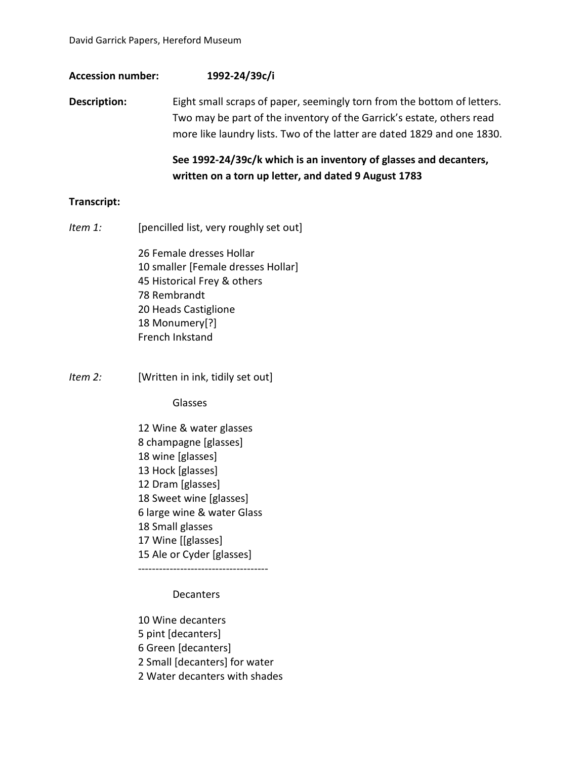### **Accession number: 1992-24/39c/i**

**Description:** Eight small scraps of paper, seemingly torn from the bottom of letters. Two may be part of the inventory of the Garrick's estate, others read more like laundry lists. Two of the latter are dated 1829 and one 1830.

# **See 1992-24/39c/k which is an inventory of glasses and decanters, written on a torn up letter, and dated 9 August 1783**

#### **Transcript:**

*Item 1:* [pencilled list, very roughly set out]

26 Female dresses Hollar 10 smaller [Female dresses Hollar] 45 Historical Frey & others 78 Rembrandt 20 Heads Castiglione 18 Monumery[?] French Inkstand

*Item 2:* [Written in ink, tidily set out]

Glasses

12 Wine & water glasses 8 champagne [glasses] 18 wine [glasses] 13 Hock [glasses] 12 Dram [glasses] 18 Sweet wine [glasses] 6 large wine & water Glass 18 Small glasses 17 Wine [[glasses] 15 Ale or Cyder [glasses]

-------------------------------------

**Decanters** 

10 Wine decanters

- 5 pint [decanters]
- 6 Green [decanters]
- 2 Small [decanters] for water
- 2 Water decanters with shades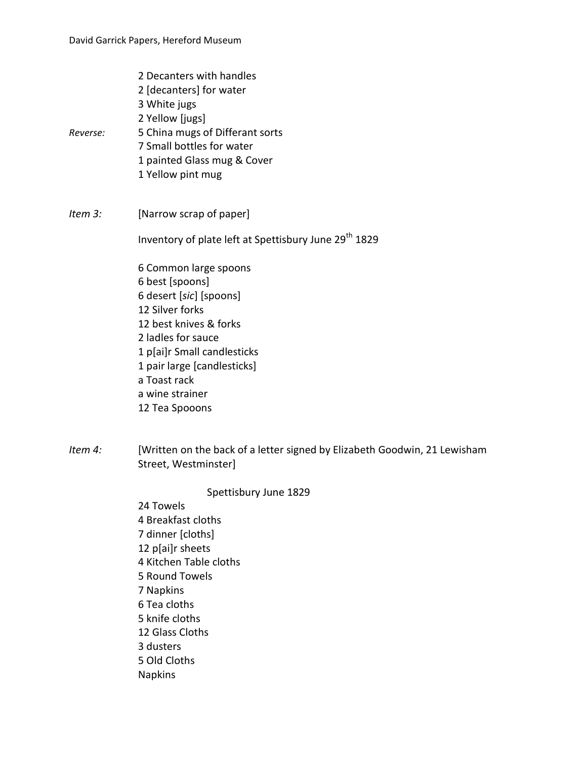- 2 Decanters with handles
- 2 [decanters] for water
- 3 White jugs
- 2 Yellow [jugs]
- *Reverse:* 5 China mugs of Differant sorts
	- 7 Small bottles for water
	- 1 painted Glass mug & Cover
	- 1 Yellow pint mug
- *Item 3:* [Narrow scrap of paper]

Inventory of plate left at Spettisbury June 29<sup>th</sup> 1829

6 Common large spoons 6 best [spoons] 6 desert [*sic*] [spoons] 12 Silver forks 12 best knives & forks 2 ladles for sauce 1 p[ai]r Small candlesticks 1 pair large [candlesticks] a Toast rack a wine strainer 12 Tea Spooons

*Item 4:* [Written on the back of a letter signed by Elizabeth Goodwin, 21 Lewisham Street, Westminster]

## Spettisbury June 1829

24 Towels 4 Breakfast cloths 7 dinner [cloths] 12 p[ai]r sheets 4 Kitchen Table cloths 5 Round Towels 7 Napkins 6 Tea cloths 5 knife cloths 12 Glass Cloths 3 dusters 5 Old Cloths Napkins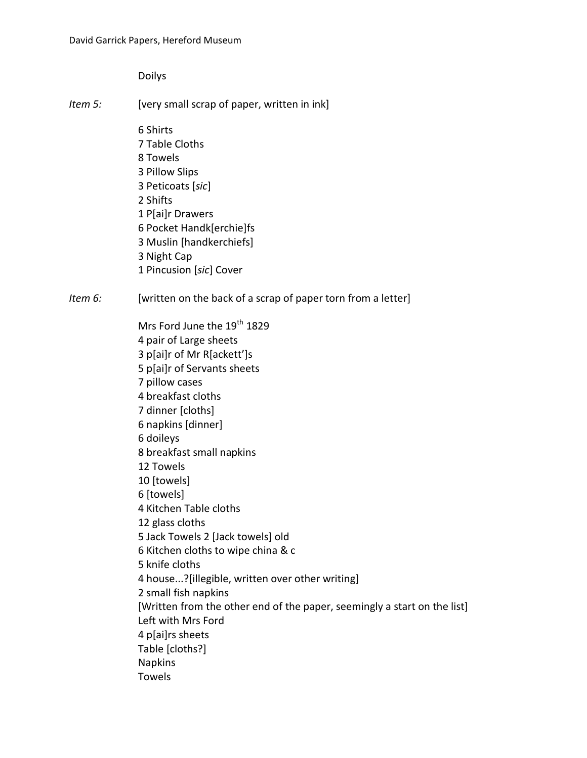Doilys

- *Item 5:* [very small scrap of paper, written in ink]
	- 6 Shirts 7 Table Cloths 8 Towels 3 Pillow Slips 3 Peticoats [*sic*] 2 Shifts 1 P[ai]r Drawers 6 Pocket Handk[erchie]fs 3 Muslin [handkerchiefs] 3 Night Cap 1 Pincusion [*sic*] Cover
- *Item 6:* [written on the back of a scrap of paper torn from a letter]

Mrs Ford June the 19<sup>th</sup> 1829 4 pair of Large sheets 3 p[ai]r of Mr R[ackett']s 5 p[ai]r of Servants sheets 7 pillow cases 4 breakfast cloths 7 dinner [cloths] 6 napkins [dinner] 6 doileys 8 breakfast small napkins 12 Towels 10 [towels] 6 [towels] 4 Kitchen Table cloths 12 glass cloths 5 Jack Towels 2 [Jack towels] old 6 Kitchen cloths to wipe china & c 5 knife cloths 4 house...?[illegible, written over other writing] 2 small fish napkins [Written from the other end of the paper, seemingly a start on the list] Left with Mrs Ford 4 p[ai]rs sheets Table [cloths?] Napkins Towels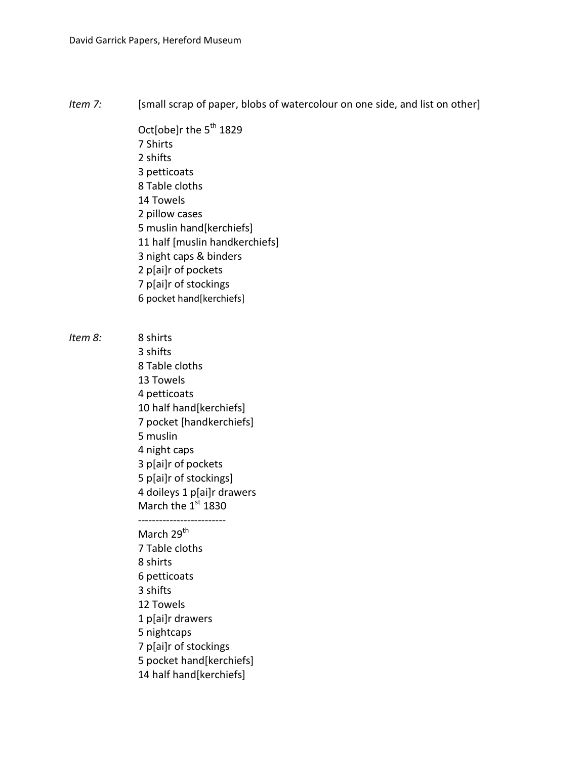*Item 7:* [small scrap of paper, blobs of watercolour on one side, and list on other]

Oct[obe]r the 5<sup>th</sup> 1829 7 Shirts 2 shifts 3 petticoats 8 Table cloths 14 Towels 2 pillow cases 5 muslin hand[kerchiefs] 11 half [muslin handkerchiefs] 3 night caps & binders 2 p[ai]r of pockets 7 p[ai]r of stockings 6 pocket hand[kerchiefs]

*Item 8:* 8 shirts

3 shifts 8 Table cloths 13 Towels 4 petticoats 10 half hand[kerchiefs] 7 pocket [handkerchiefs] 5 muslin 4 night caps 3 p[ai]r of pockets 5 p[ai]r of stockings] 4 doileys 1 p[ai]r drawers March the 1st 1830 ------------------------- March 29<sup>th</sup>

7 Table cloths 8 shirts 6 petticoats 3 shifts 12 Towels 1 p[ai]r drawers 5 nightcaps 7 p[ai]r of stockings 5 pocket hand[kerchiefs] 14 half hand[kerchiefs]